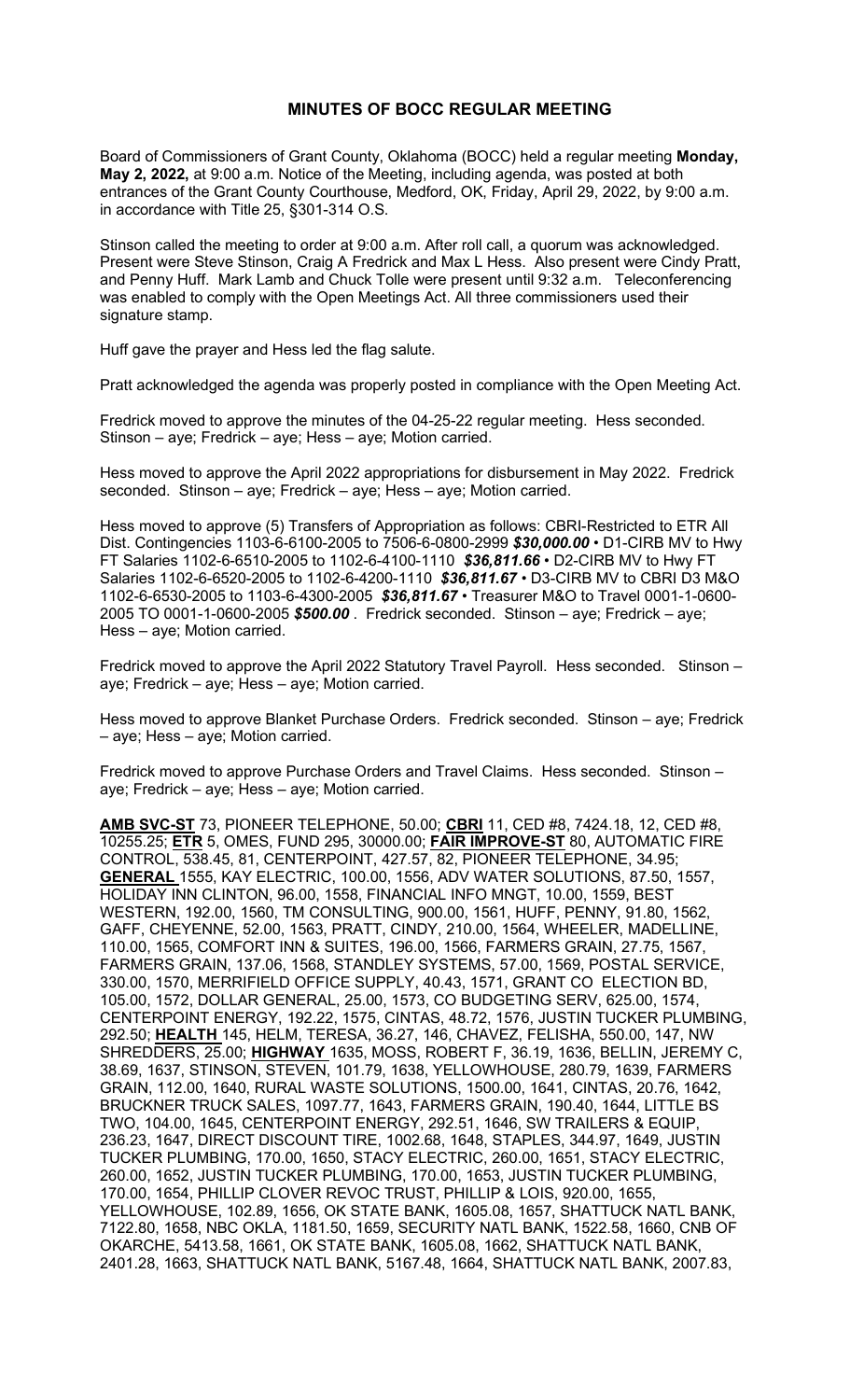## **MINUTES OF BOCC REGULAR MEETING**

Board of Commissioners of Grant County, Oklahoma (BOCC) held a regular meeting **Monday, May 2, 2022,** at 9:00 a.m. Notice of the Meeting, including agenda, was posted at both entrances of the Grant County Courthouse, Medford, OK, Friday, April 29, 2022, by 9:00 a.m. in accordance with Title 25, §301-314 O.S.

Stinson called the meeting to order at 9:00 a.m. After roll call, a quorum was acknowledged. Present were Steve Stinson, Craig A Fredrick and Max L Hess. Also present were Cindy Pratt, and Penny Huff. Mark Lamb and Chuck Tolle were present until 9:32 a.m. Teleconferencing was enabled to comply with the Open Meetings Act. All three commissioners used their signature stamp.

Huff gave the prayer and Hess led the flag salute.

Pratt acknowledged the agenda was properly posted in compliance with the Open Meeting Act.

Fredrick moved to approve the minutes of the 04-25-22 regular meeting. Hess seconded. Stinson – aye; Fredrick – aye; Hess – aye; Motion carried.

Hess moved to approve the April 2022 appropriations for disbursement in May 2022. Fredrick seconded. Stinson – aye; Fredrick – aye; Hess – aye; Motion carried.

Hess moved to approve (5) Transfers of Appropriation as follows: CBRI-Restricted to ETR All Dist. Contingencies 1103-6-6100-2005 to 7506-6-0800-2999 *\$30,000.00 •* D1-CIRB MV to Hwy FT Salaries 1102-6-6510-2005 to 1102-6-4100-1110 *\$36,811.66 •* D2-CIRB MV to Hwy FT Salaries 1102-6-6520-2005 to 1102-6-4200-1110 *\$36,811.67 •* D3-CIRB MV to CBRI D3 M&O 1102-6-6530-2005 to 1103-6-4300-2005 *\$36,811.67 •* Treasurer M&O to Travel 0001-1-0600- 2005 TO 0001-1-0600-2005 *\$500.00* . Fredrick seconded. Stinson – aye; Fredrick – aye; Hess – aye; Motion carried.

Fredrick moved to approve the April 2022 Statutory Travel Payroll. Hess seconded. Stinson – aye; Fredrick – aye; Hess – aye; Motion carried.

Hess moved to approve Blanket Purchase Orders. Fredrick seconded. Stinson – aye; Fredrick – aye; Hess – aye; Motion carried.

Fredrick moved to approve Purchase Orders and Travel Claims. Hess seconded. Stinson – aye; Fredrick – aye; Hess – aye; Motion carried.

**AMB SVC-ST** 73, PIONEER TELEPHONE, 50.00; **CBRI** 11, CED #8, 7424.18, 12, CED #8, 10255.25; **ETR** 5, OMES, FUND 295, 30000.00; **FAIR IMPROVE-ST** 80, AUTOMATIC FIRE CONTROL, 538.45, 81, CENTERPOINT, 427.57, 82, PIONEER TELEPHONE, 34.95; **GENERAL** 1555, KAY ELECTRIC, 100.00, 1556, ADV WATER SOLUTIONS, 87.50, 1557, HOLIDAY INN CLINTON, 96.00, 1558, FINANCIAL INFO MNGT, 10.00, 1559, BEST WESTERN, 192.00, 1560, TM CONSULTING, 900.00, 1561, HUFF, PENNY, 91.80, 1562, GAFF, CHEYENNE, 52.00, 1563, PRATT, CINDY, 210.00, 1564, WHEELER, MADELLINE, 110.00, 1565, COMFORT INN & SUITES, 196.00, 1566, FARMERS GRAIN, 27.75, 1567, FARMERS GRAIN, 137.06, 1568, STANDLEY SYSTEMS, 57.00, 1569, POSTAL SERVICE, 330.00, 1570, MERRIFIELD OFFICE SUPPLY, 40.43, 1571, GRANT CO ELECTION BD, 105.00, 1572, DOLLAR GENERAL, 25.00, 1573, CO BUDGETING SERV, 625.00, 1574, CENTERPOINT ENERGY, 192.22, 1575, CINTAS, 48.72, 1576, JUSTIN TUCKER PLUMBING, 292.50; **HEALTH** 145, HELM, TERESA, 36.27, 146, CHAVEZ, FELISHA, 550.00, 147, NW SHREDDERS, 25.00; **HIGHWAY** 1635, MOSS, ROBERT F, 36.19, 1636, BELLIN, JEREMY C, 38.69, 1637, STINSON, STEVEN, 101.79, 1638, YELLOWHOUSE, 280.79, 1639, FARMERS GRAIN, 112.00, 1640, RURAL WASTE SOLUTIONS, 1500.00, 1641, CINTAS, 20.76, 1642, BRUCKNER TRUCK SALES, 1097.77, 1643, FARMERS GRAIN, 190.40, 1644, LITTLE BS TWO, 104.00, 1645, CENTERPOINT ENERGY, 292.51, 1646, SW TRAILERS & EQUIP, 236.23, 1647, DIRECT DISCOUNT TIRE, 1002.68, 1648, STAPLES, 344.97, 1649, JUSTIN TUCKER PLUMBING, 170.00, 1650, STACY ELECTRIC, 260.00, 1651, STACY ELECTRIC, 260.00, 1652, JUSTIN TUCKER PLUMBING, 170.00, 1653, JUSTIN TUCKER PLUMBING, 170.00, 1654, PHILLIP CLOVER REVOC TRUST, PHILLIP & LOIS, 920.00, 1655, YELLOWHOUSE, 102.89, 1656, OK STATE BANK, 1605.08, 1657, SHATTUCK NATL BANK, 7122.80, 1658, NBC OKLA, 1181.50, 1659, SECURITY NATL BANK, 1522.58, 1660, CNB OF OKARCHE, 5413.58, 1661, OK STATE BANK, 1605.08, 1662, SHATTUCK NATL BANK, 2401.28, 1663, SHATTUCK NATL BANK, 5167.48, 1664, SHATTUCK NATL BANK, 2007.83,